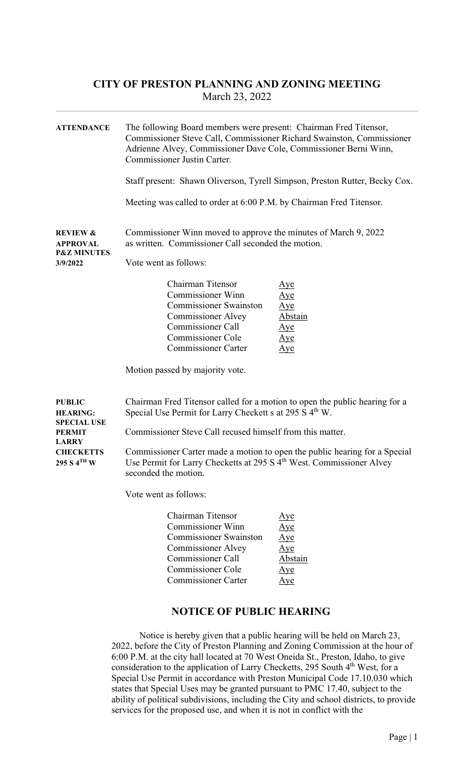| <b>ATTENDANCE</b>                                                            | The following Board members were present: Chairman Fred Titensor,<br>Commissioner Steve Call, Commissioner Richard Swainston, Commissioner                                                        |                                                                                 |  |
|------------------------------------------------------------------------------|---------------------------------------------------------------------------------------------------------------------------------------------------------------------------------------------------|---------------------------------------------------------------------------------|--|
|                                                                              | Adrienne Alvey, Commissioner Dave Cole, Commissioner Berni Winn,<br>Commissioner Justin Carter.                                                                                                   |                                                                                 |  |
|                                                                              | Staff present: Shawn Oliverson, Tyrell Simpson, Preston Rutter, Becky Cox.                                                                                                                        |                                                                                 |  |
|                                                                              | Meeting was called to order at 6:00 P.M. by Chairman Fred Titensor.                                                                                                                               |                                                                                 |  |
| <b>REVIEW &amp;</b><br><b>APPROVAL</b><br><b>P&amp;Z MINUTES</b>             | Commissioner Winn moved to approve the minutes of March 9, 2022<br>as written. Commissioner Call seconded the motion.                                                                             |                                                                                 |  |
| 3/9/2022                                                                     | Vote went as follows:                                                                                                                                                                             |                                                                                 |  |
|                                                                              | Chairman Titensor<br><b>Commissioner Winn</b><br><b>Commissioner Swainston</b><br><b>Commissioner Alvey</b><br><b>Commissioner Call</b><br><b>Commissioner Cole</b><br><b>Commissioner Carter</b> | <u>Aye</u><br>Aye<br>$\Delta$ ye<br>Abstain<br><u>Aye</u><br>Aye<br>$\Delta$ ye |  |
|                                                                              | Motion passed by majority vote.                                                                                                                                                                   |                                                                                 |  |
| <b>PUBLIC</b><br><b>HEARING:</b><br><b>SPECIAL USE</b>                       | Chairman Fred Titensor called for a motion to open the public hearing for a<br>Special Use Permit for Larry Checkett s at 295 S 4 <sup>th</sup> W.                                                |                                                                                 |  |
| <b>PERMIT</b><br><b>LARRY</b><br><b>CHECKETTS</b><br>295 S 4 <sup>th</sup> W | Commissioner Steve Call recused himself from this matter.                                                                                                                                         |                                                                                 |  |
|                                                                              | Commissioner Carter made a motion to open the public hearing for a Special<br>Use Permit for Larry Checketts at 295 S 4 <sup>th</sup> West. Commissioner Alvey<br>seconded the motion.            |                                                                                 |  |
|                                                                              | Vote went as follows:                                                                                                                                                                             |                                                                                 |  |
|                                                                              | Chairman Titensor<br>Commissioner Winn<br><b>Commissioner Swainston</b><br><b>Commissioner Alvey</b><br><b>Commissioner Call</b><br><b>Commissioner Cole</b><br><b>Commissioner Carter</b>        | <u>Aye</u><br><u>Aye</u><br>Aye<br>$\Delta$ ye<br>Abstain<br><u>Aye</u><br>Aye  |  |

#### NOTICE OF PUBLIC HEARING

Notice is hereby given that a public hearing will be held on March 23, 2022, before the City of Preston Planning and Zoning Commission at the hour of 6:00 P.M. at the city hall located at 70 West Oneida St., Preston, Idaho, to give consideration to the application of Larry Checketts, 295 South 4<sup>th</sup> West, for a Special Use Permit in accordance with Preston Municipal Code 17.10.030 which states that Special Uses may be granted pursuant to PMC 17.40, subject to the ability of political subdivisions, including the City and school districts, to provide services for the proposed use, and when it is not in conflict with the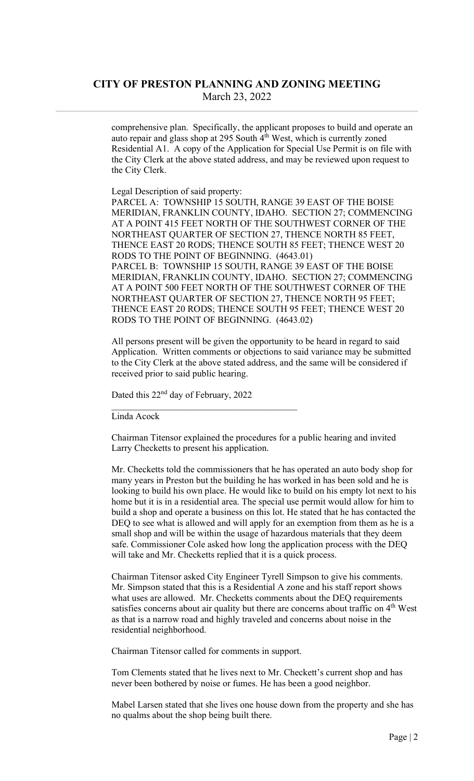comprehensive plan. Specifically, the applicant proposes to build and operate an auto repair and glass shop at 295 South  $4<sup>th</sup>$  West, which is currently zoned Residential A1. A copy of the Application for Special Use Permit is on file with the City Clerk at the above stated address, and may be reviewed upon request to the City Clerk.

Legal Description of said property:

PARCEL A: TOWNSHIP 15 SOUTH, RANGE 39 EAST OF THE BOISE MERIDIAN, FRANKLIN COUNTY, IDAHO. SECTION 27; COMMENCING AT A POINT 415 FEET NORTH OF THE SOUTHWEST CORNER OF THE NORTHEAST QUARTER OF SECTION 27, THENCE NORTH 85 FEET, THENCE EAST 20 RODS; THENCE SOUTH 85 FEET; THENCE WEST 20 RODS TO THE POINT OF BEGINNING. (4643.01) PARCEL B: TOWNSHIP 15 SOUTH, RANGE 39 EAST OF THE BOISE MERIDIAN, FRANKLIN COUNTY, IDAHO. SECTION 27; COMMENCING AT A POINT 500 FEET NORTH OF THE SOUTHWEST CORNER OF THE NORTHEAST QUARTER OF SECTION 27, THENCE NORTH 95 FEET; THENCE EAST 20 RODS; THENCE SOUTH 95 FEET; THENCE WEST 20 RODS TO THE POINT OF BEGINNING. (4643.02)

All persons present will be given the opportunity to be heard in regard to said Application. Written comments or objections to said variance may be submitted to the City Clerk at the above stated address, and the same will be considered if received prior to said public hearing.

Dated this 22<sup>nd</sup> day of February, 2022

Linda Acock

Chairman Titensor explained the procedures for a public hearing and invited Larry Checketts to present his application.

Mr. Checketts told the commissioners that he has operated an auto body shop for many years in Preston but the building he has worked in has been sold and he is looking to build his own place. He would like to build on his empty lot next to his home but it is in a residential area. The special use permit would allow for him to build a shop and operate a business on this lot. He stated that he has contacted the DEQ to see what is allowed and will apply for an exemption from them as he is a small shop and will be within the usage of hazardous materials that they deem safe. Commissioner Cole asked how long the application process with the DEQ will take and Mr. Checketts replied that it is a quick process.

Chairman Titensor asked City Engineer Tyrell Simpson to give his comments. Mr. Simpson stated that this is a Residential A zone and his staff report shows what uses are allowed. Mr. Checketts comments about the DEQ requirements satisfies concerns about air quality but there are concerns about traffic on 4<sup>th</sup> West as that is a narrow road and highly traveled and concerns about noise in the residential neighborhood.

Chairman Titensor called for comments in support.

Tom Clements stated that he lives next to Mr. Checkett's current shop and has never been bothered by noise or fumes. He has been a good neighbor.

Mabel Larsen stated that she lives one house down from the property and she has no qualms about the shop being built there.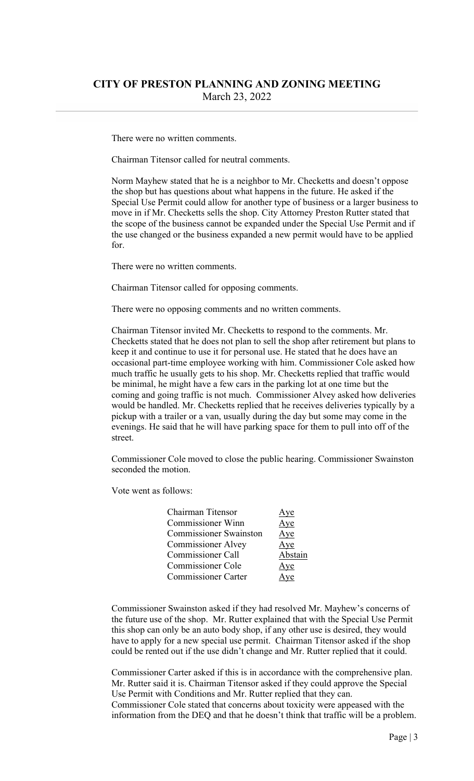There were no written comments.

Chairman Titensor called for neutral comments.

Norm Mayhew stated that he is a neighbor to Mr. Checketts and doesn't oppose the shop but has questions about what happens in the future. He asked if the Special Use Permit could allow for another type of business or a larger business to move in if Mr. Checketts sells the shop. City Attorney Preston Rutter stated that the scope of the business cannot be expanded under the Special Use Permit and if the use changed or the business expanded a new permit would have to be applied for.

There were no written comments.

Chairman Titensor called for opposing comments.

There were no opposing comments and no written comments.

Chairman Titensor invited Mr. Checketts to respond to the comments. Mr. Checketts stated that he does not plan to sell the shop after retirement but plans to keep it and continue to use it for personal use. He stated that he does have an occasional part-time employee working with him. Commissioner Cole asked how much traffic he usually gets to his shop. Mr. Checketts replied that traffic would be minimal, he might have a few cars in the parking lot at one time but the coming and going traffic is not much. Commissioner Alvey asked how deliveries would be handled. Mr. Checketts replied that he receives deliveries typically by a pickup with a trailer or a van, usually during the day but some may come in the evenings. He said that he will have parking space for them to pull into off of the street.

Commissioner Cole moved to close the public hearing. Commissioner Swainston seconded the motion.

Vote went as follows:

| Chairman Titensor             | <u>Aye</u> |
|-------------------------------|------------|
| <b>Commissioner Winn</b>      | Aye        |
| <b>Commissioner Swainston</b> | Aye        |
| <b>Commissioner Alvey</b>     | Aye        |
| <b>Commissioner Call</b>      | Abstain    |
| <b>Commissioner Cole</b>      | Aye        |
| <b>Commissioner Carter</b>    | Aye        |

Commissioner Swainston asked if they had resolved Mr. Mayhew's concerns of the future use of the shop. Mr. Rutter explained that with the Special Use Permit this shop can only be an auto body shop, if any other use is desired, they would have to apply for a new special use permit. Chairman Titensor asked if the shop could be rented out if the use didn't change and Mr. Rutter replied that it could.

Commissioner Carter asked if this is in accordance with the comprehensive plan. Mr. Rutter said it is. Chairman Titensor asked if they could approve the Special Use Permit with Conditions and Mr. Rutter replied that they can. Commissioner Cole stated that concerns about toxicity were appeased with the information from the DEQ and that he doesn't think that traffic will be a problem.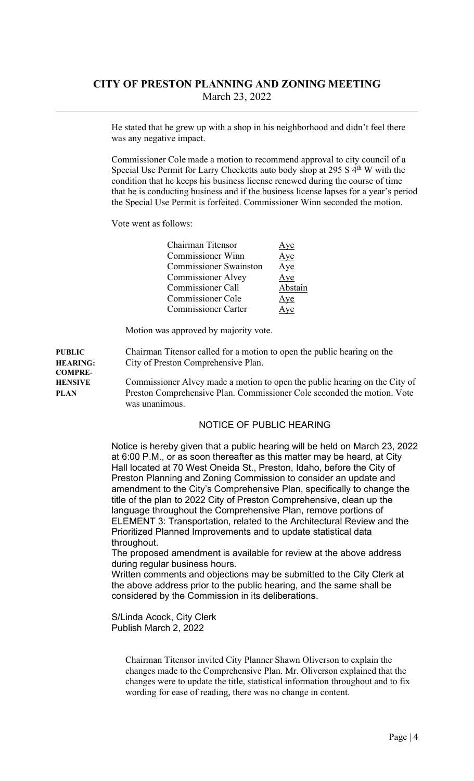He stated that he grew up with a shop in his neighborhood and didn't feel there was any negative impact.

Commissioner Cole made a motion to recommend approval to city council of a Special Use Permit for Larry Checketts auto body shop at 295 S 4<sup>th</sup> W with the condition that he keeps his business license renewed during the course of time that he is conducting business and if the business license lapses for a year's period the Special Use Permit is forfeited. Commissioner Winn seconded the motion.

Vote went as follows:

| Chairman Titensor             | Aye     |
|-------------------------------|---------|
| <b>Commissioner Winn</b>      | Aye     |
| <b>Commissioner Swainston</b> | Aye     |
| <b>Commissioner Alvey</b>     | Aye     |
| <b>Commissioner Call</b>      | Abstain |
| <b>Commissioner Cole</b>      | Aye     |
| <b>Commissioner Carter</b>    | Aye     |
|                               |         |

Motion was approved by majority vote.

PUBLIC Chairman Titensor called for a motion to open the public hearing on the HEARING: City of Preston Comprehensive Plan. COMPRE-HENSIVE Commissioner Alvey made a motion to open the public hearing on the City of PLAN Preston Comprehensive Plan. Commissioner Cole seconded the motion. Vote was unanimous.

#### NOTICE OF PUBLIC HEARING

Notice is hereby given that a public hearing will be held on March 23, 2022 at 6:00 P.M., or as soon thereafter as this matter may be heard, at City Hall located at 70 West Oneida St., Preston, Idaho, before the City of Preston Planning and Zoning Commission to consider an update and amendment to the City's Comprehensive Plan, specifically to change the title of the plan to 2022 City of Preston Comprehensive, clean up the language throughout the Comprehensive Plan, remove portions of ELEMENT 3: Transportation, related to the Architectural Review and the Prioritized Planned Improvements and to update statistical data throughout.

The proposed amendment is available for review at the above address during regular business hours.

Written comments and objections may be submitted to the City Clerk at the above address prior to the public hearing, and the same shall be considered by the Commission in its deliberations.

S/Linda Acock, City Clerk Publish March 2, 2022

> Chairman Titensor invited City Planner Shawn Oliverson to explain the changes made to the Comprehensive Plan. Mr. Oliverson explained that the changes were to update the title, statistical information throughout and to fix wording for ease of reading, there was no change in content.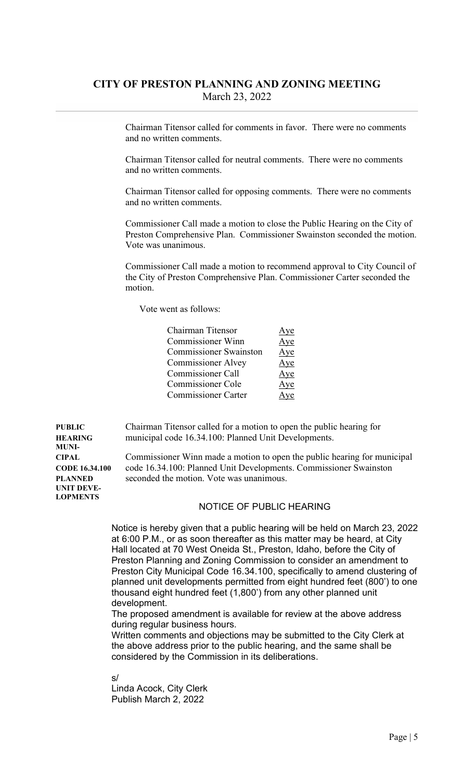Chairman Titensor called for comments in favor. There were no comments and no written comments.

 Chairman Titensor called for neutral comments. There were no comments and no written comments.

 Chairman Titensor called for opposing comments. There were no comments and no written comments.

 Commissioner Call made a motion to close the Public Hearing on the City of Preston Comprehensive Plan. Commissioner Swainston seconded the motion. Vote was unanimous.

 Commissioner Call made a motion to recommend approval to City Council of the City of Preston Comprehensive Plan. Commissioner Carter seconded the motion.

Vote went as follows:

| Chairman Titensor             | ve  |
|-------------------------------|-----|
| <b>Commissioner Winn</b>      | Aye |
| <b>Commissioner Swainston</b> | Aye |
| <b>Commissioner Alvey</b>     | Aye |
| Commissioner Call             | Aye |
| <b>Commissioner Cole</b>      | Aye |
| <b>Commissioner Carter</b>    | ve. |

PUBLIC Chairman Titensor called for a motion to open the public hearing for HEARING municipal code 16.34.100: Planned Unit Developments.

CIPAL Commissioner Winn made a motion to open the public hearing for municipal CODE 16.34.100 code 16.34.100: Planned Unit Developments. Commissioner Swainston PLANNED seconded the motion. Vote was unanimous.

#### NOTICE OF PUBLIC HEARING

Notice is hereby given that a public hearing will be held on March 23, 2022 at 6:00 P.M., or as soon thereafter as this matter may be heard, at City Hall located at 70 West Oneida St., Preston, Idaho, before the City of Preston Planning and Zoning Commission to consider an amendment to Preston City Municipal Code 16.34.100, specifically to amend clustering of planned unit developments permitted from eight hundred feet (800') to one thousand eight hundred feet (1,800') from any other planned unit development.

The proposed amendment is available for review at the above address during regular business hours.

Written comments and objections may be submitted to the City Clerk at the above address prior to the public hearing, and the same shall be considered by the Commission in its deliberations.

s/

Linda Acock, City Clerk Publish March 2, 2022

MUNI-UNIT DEVE-LOPMENTS